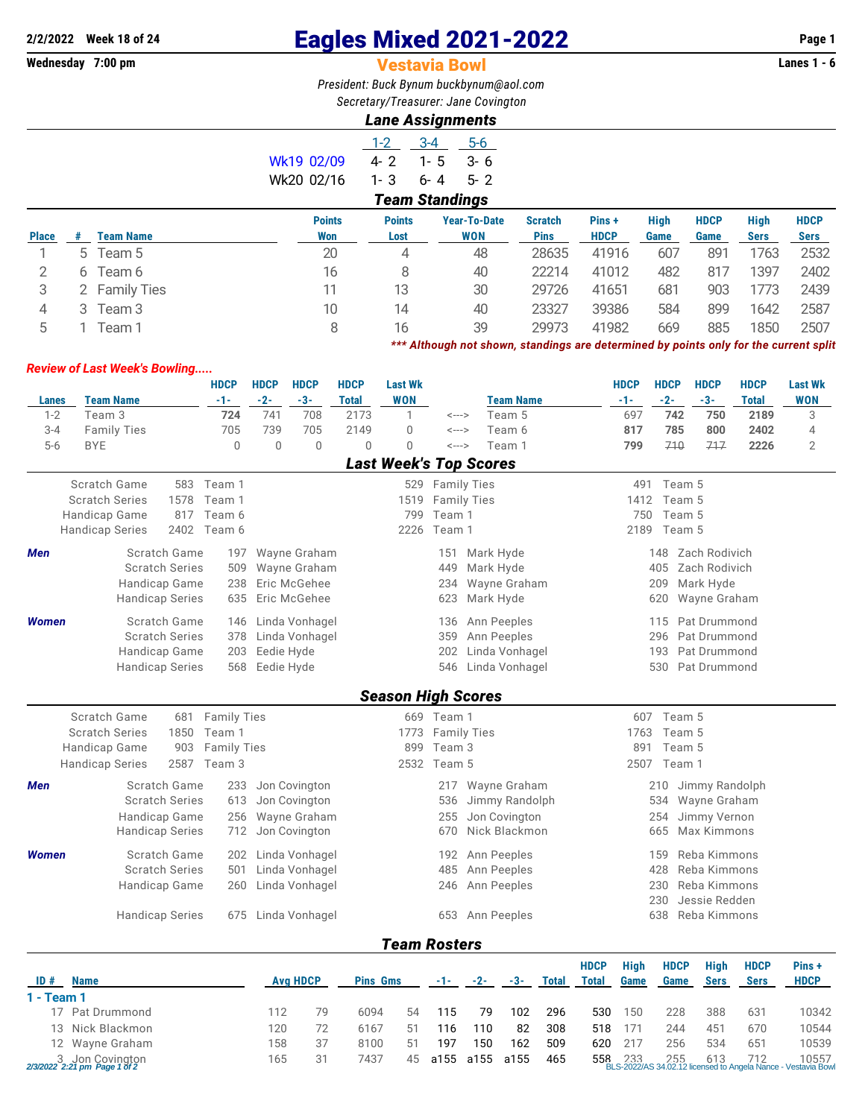# **2/2/2022 Week 18 of 24** Eagles Mixed 2021-2022 **Page 1**

### **Vestavia Bowl**

*President: Buck Bynum [buckbynum@aol.com](mailto:buckbynum@aol.com) Secretary/Treasurer: Jane Covington*

## *Lane Assignments*

|              |                       |                  |               | $1 - 2$       | $3 - 4$           | $5-6$               |                |             |      |             |             |             |  |
|--------------|-----------------------|------------------|---------------|---------------|-------------------|---------------------|----------------|-------------|------|-------------|-------------|-------------|--|
|              |                       |                  | Wk19 02/09    | $4 - 2$       | 1-<br>$\mathbf b$ | $3 - 6$             |                |             |      |             |             |             |  |
|              |                       |                  | Wk20 02/16    | $1 - 3$       | $6 - 4$           | $5 - 2$             |                |             |      |             |             |             |  |
|              | <b>Team Standings</b> |                  |               |               |                   |                     |                |             |      |             |             |             |  |
|              |                       |                  | <b>Points</b> | <b>Points</b> |                   | <b>Year-To-Date</b> | <b>Scratch</b> | Pins +      | High | <b>HDCP</b> | High        | <b>HDCP</b> |  |
| <b>Place</b> | #                     | <b>Team Name</b> | Won           | Lost          |                   | <b>WON</b>          | <b>Pins</b>    | <b>HDCP</b> | Game | Game        | <b>Sers</b> | Sers        |  |
|              |                       | 5 Team 5         | 20            | 4             |                   | 48                  | 28635          | 41916       | 607  | 891         | 1763        | 2532        |  |
| 2            |                       | 6 Team 6         | 16            | 8             |                   | 40                  | 22214          | 41012       | 482  | 817         | 1397        | 2402        |  |
| 3            |                       | 2 Family Ties    | 11            | 13            |                   | 30                  | 29726          | 41651       | 681  | 903         | 1773        | 2439        |  |
| 4            |                       | 3 Team 3         | 10            | 14            |                   | 40                  | 23327          | 39386       | 584  | 899         | 1642        | 2587        |  |
| 5            |                       | Геаm 1           | 8             | 16            |                   | 39                  | 29973          | 41982       | 669  | 885         | 1850        | 2507        |  |

*\*\*\* Although not shown, standings are determined by points only for the current split*

#### *Review of Last Week's Bowling.....*

|                 |                        |      | <b>HDCP</b>        | <b>HDCP</b> | <b>HDCP</b>     | <b>HDCP</b>     | <b>Last Wk</b>                            |                   |                    |                  |              |              | <b>HDCP</b> | <b>HDCP</b>   | <b>HDCP</b>    | <b>HDCP</b>  | <b>Last Wk</b> |
|-----------------|------------------------|------|--------------------|-------------|-----------------|-----------------|-------------------------------------------|-------------------|--------------------|------------------|--------------|--------------|-------------|---------------|----------------|--------------|----------------|
| <b>Lanes</b>    | <b>Team Name</b>       |      | $-1-$              | $-2-$       | $-3-$           | <b>Total</b>    | <b>WON</b>                                |                   |                    | <b>Team Name</b> |              |              | $-1-$       | $-2-$         | $-3-$          | <b>Total</b> | <b>WON</b>     |
| $1 - 2$         | Team 3                 |      | 724                | 741         | 708             | 2173            | 1                                         | <--->             |                    | Team 5           |              |              | 697         | 742           | 750            | 2189         | 3              |
| $3 - 4$         | <b>Family Ties</b>     |      | 705                | 739         | 705             | 2149            | $\mathbf 0$                               | <--->             |                    | Team 6           |              |              | 817         | 785           | 800            | 2402         | 4              |
| $5-6$           | <b>BYE</b>             |      | $\overline{0}$     | $\Omega$    | $\mathbf 0$     | $\overline{0}$  | $\Omega$<br><b>Last Week's Top Scores</b> | $\leftarrow$ ---> |                    | Team 1           |              |              | 799         | 710           | 717            | 2226         | $\overline{2}$ |
|                 |                        |      |                    |             |                 |                 |                                           |                   |                    |                  |              |              |             |               |                |              |                |
|                 | Scratch Game           |      | 583 Team 1         |             |                 |                 |                                           |                   | 529 Family Ties    |                  |              |              | 491         | Team 5        |                |              |                |
|                 | <b>Scratch Series</b>  | 1578 | Team 1             |             |                 |                 | 1519                                      |                   | <b>Family Ties</b> |                  |              |              | 1412        | Team 5        |                |              |                |
|                 | Handicap Game          | 817  | Team 6             |             |                 |                 | 799                                       | Team 1<br>Team 1  |                    |                  |              |              | 750         | Team 5        |                |              |                |
|                 | <b>Handicap Series</b> | 2402 | Team 6             |             |                 |                 | 2226                                      |                   |                    |                  |              |              | 2189        | Team 5        |                |              |                |
| <b>Men</b>      | Scratch Game           |      | 197                |             | Wayne Graham    |                 |                                           | 151               | Mark Hyde          |                  |              |              |             | 148           | Zach Rodivich  |              |                |
|                 | <b>Scratch Series</b>  |      | 509                |             | Wayne Graham    |                 |                                           | 449               | Mark Hyde          |                  |              |              |             | 405           | Zach Rodivich  |              |                |
|                 | Handicap Game          |      | 238                |             | Eric McGehee    |                 |                                           | 234               |                    | Wayne Graham     |              |              |             | 209           | Mark Hyde      |              |                |
|                 | <b>Handicap Series</b> |      | 635                |             | Eric McGehee    |                 |                                           | 623               | Mark Hyde          |                  |              |              |             | 620           | Wayne Graham   |              |                |
| <b>Women</b>    | Scratch Game           |      | 146                |             | Linda Vonhagel  |                 |                                           | 136               |                    | Ann Peeples      |              |              |             | 115           | Pat Drummond   |              |                |
|                 | <b>Scratch Series</b>  |      | 378                |             | Linda Vonhagel  |                 |                                           | 359               |                    | Ann Peeples      |              |              |             | 296           | Pat Drummond   |              |                |
|                 | Handicap Game          |      | 203                | Eedie Hyde  |                 |                 |                                           | 202               |                    | Linda Vonhagel   |              |              |             | 193           | Pat Drummond   |              |                |
|                 | <b>Handicap Series</b> |      | 568                | Eedie Hyde  |                 |                 |                                           | 546               |                    | Linda Vonhagel   |              |              |             | 530           | Pat Drummond   |              |                |
|                 |                        |      |                    |             |                 |                 | <b>Season High Scores</b>                 |                   |                    |                  |              |              |             |               |                |              |                |
|                 | Scratch Game           | 681  | <b>Family Ties</b> |             |                 |                 |                                           | 669 Team 1        |                    |                  |              |              | 607         | Team 5        |                |              |                |
|                 | <b>Scratch Series</b>  | 1850 | Team 1             |             |                 |                 | 1773                                      |                   | <b>Family Ties</b> |                  |              |              | 1763        | Team 5        |                |              |                |
|                 | Handicap Game          | 903  | <b>Family Ties</b> |             |                 |                 | 899                                       | Team 3            |                    |                  |              |              | 891         | Team 5        |                |              |                |
|                 | <b>Handicap Series</b> | 2587 | Team 3             |             |                 |                 | 2532                                      | Team 5            |                    |                  |              |              | 2507        | Team 1        |                |              |                |
| Men             | Scratch Game           |      | 233                |             | Jon Covington   |                 |                                           |                   | 217 Wayne Graham   |                  |              |              |             | 210           | Jimmy Randolph |              |                |
|                 | <b>Scratch Series</b>  |      | 613                |             | Jon Covington   |                 |                                           | 536               |                    | Jimmy Randolph   |              |              |             | 534           | Wayne Graham   |              |                |
|                 | Handicap Game          |      | 256                |             | Wayne Graham    |                 |                                           | 255               |                    | Jon Covington    |              |              |             | 254           | Jimmy Vernon   |              |                |
|                 | <b>Handicap Series</b> |      | 712                |             | Jon Covington   |                 |                                           | 670               |                    | Nick Blackmon    |              |              |             | 665           | Max Kimmons    |              |                |
| <b>Women</b>    | Scratch Game           |      | 202                |             | Linda Vonhagel  |                 |                                           | 192               |                    | Ann Peeples      |              |              |             | 159           | Reba Kimmons   |              |                |
|                 | <b>Scratch Series</b>  |      | 501                |             | Linda Vonhagel  |                 |                                           | 485               |                    | Ann Peeples      |              |              |             | 428           | Reba Kimmons   |              |                |
|                 | Handicap Game          |      | 260                |             | Linda Vonhagel  |                 |                                           | 246               | Ann Peeples        |                  |              |              | 230         | Reba Kimmons  |                |              |                |
|                 |                        |      |                    |             |                 |                 |                                           |                   |                    |                  |              |              | 230         | Jessie Redden |                |              |                |
|                 | <b>Handicap Series</b> |      | 675                |             | Linda Vonhagel  |                 |                                           | 653               |                    | Ann Peeples      |              |              |             | 638           | Reba Kimmons   |              |                |
|                 |                        |      |                    |             |                 |                 | <b>Team Rosters</b>                       |                   |                    |                  |              |              |             |               |                |              |                |
|                 |                        |      |                    |             |                 |                 |                                           |                   |                    |                  |              | <b>HDCP</b>  | <b>High</b> | <b>HDCP</b>   | <b>High</b>    | <b>HDCP</b>  | Pins+          |
| ID#             | <b>Name</b>            |      |                    |             | <b>Avg HDCP</b> | <b>Pins Gms</b> |                                           | -1-               | $-2-$              | $-3-$            | <b>Total</b> | <b>Total</b> | Game        | Game          | <b>Sers</b>    | <b>Sers</b>  | <b>HDCP</b>    |
| 1 - Team 1      |                        |      |                    |             |                 |                 |                                           |                   |                    |                  |              |              |             |               |                |              |                |
| 17              | Pat Drummond           |      |                    | 112         | 79              | 6094            | 54                                        | 115               | 79                 | 102              | 296          | 530          | 150         | 228           | 388            | 631          | 10342          |
| 13              | Nick Blackmon          |      |                    | 120         | 72              | 6167            | 51                                        | 116               | 110                | 82               | 308          | 518          | 171         | 244           | 451            | 670          | 10544          |
| 12 Wavne Graham |                        |      |                    | 158         | 37              | 8100            | 51                                        | 197               | 150                | 162              | 509          | 620          | 217         | 256           | 534            | 651          | 10539          |

3 Jon Covington 165 31 7437 45 a155 a155 a155 465 558 233 255 613 712 10557 *2/3/2022 2:21 pm Page 1 of 2* BLS-2022/AS 34.02.12 licensed to Angela Nance - Vestavia Bowl